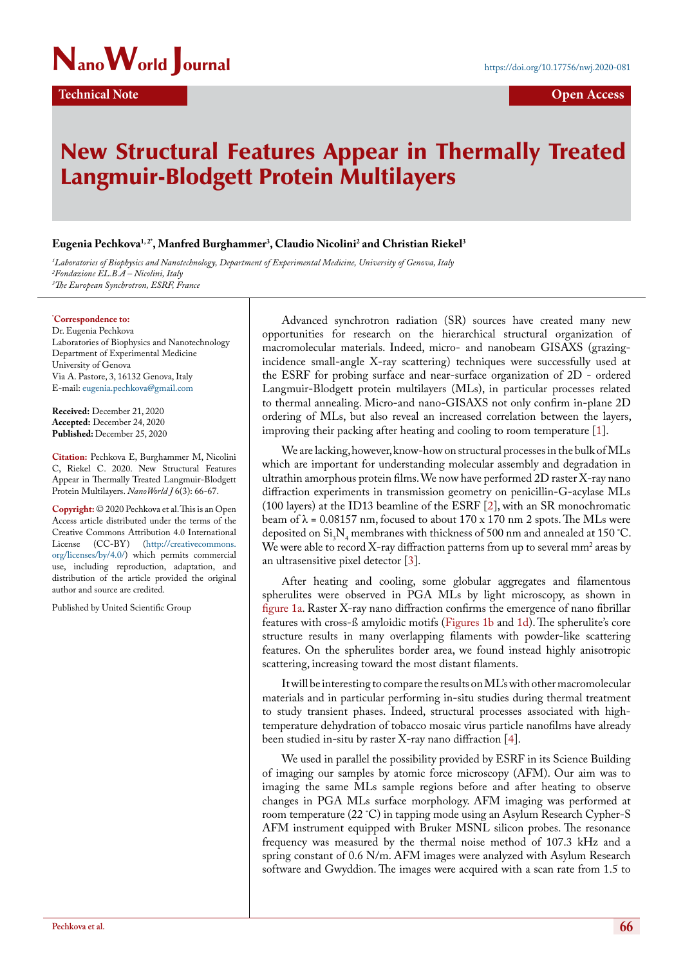

## New Structural Features Appear in Thermally Treated Langmuir-Blodgett Protein Multilayers

## **Eugenia Pechkova1, 2\*, Manfred Burghammer3 , Claudio Nicolini2 and Christian Riekel3**

*1 Laboratories of Biophysics and Nanotechnology, Department of Experimental Medicine, University of Genova, Italy 2 Fondazione EL.B.A – Nicolini, Italy 3 The European Synchrotron, ESRF, France*

**\* Correspondence to:**

Dr. Eugenia Pechkova Laboratories of Biophysics and Nanotechnology Department of Experimental Medicine University of Genova Via A. Pastore, 3, 16132 Genova, Italy E-mail: [eugenia.pechkova@gmail.com](mailto:eugenia.pechkova@gmail.com)

**Received:** December 21, 2020 **Accepted:** December 24, 2020 **Published:** December 25, 2020

**Citation:** Pechkova E, Burghammer M, Nicolini C, Riekel C. 2020. New Structural Features Appear in Thermally Treated Langmuir-Blodgett Protein Multilayers. *NanoWorld J* 6(3): 66-67.

**Copyright:** © 2020 Pechkova et al. This is an Open Access article distributed under the terms of the Creative Commons Attribution 4.0 International License (CC-BY) (http://creativecommons. org/licenses/by/4.0/) which permits commercial use, including reproduction, adaptation, and distribution of the article provided the original author and source are credited.

Published by United Scientific Group

Advanced synchrotron radiation (SR) sources have created many new opportunities for research on the hierarchical structural organization of macromolecular materials. Indeed, micro- and nanobeam GISAXS (grazingincidence small-angle X-ray scattering) techniques were successfully used at the ESRF for probing surface and near-surface organization of 2D - ordered Langmuir-Blodgett protein multilayers (MLs), in particular processes related to thermal annealing. Micro-and nano-GISAXS not only confirm in-plane 2D ordering of MLs, but also reveal an increased correlation between the layers, improving their packing after heating and cooling to room temperature [[1\]](#page-1-0).

We are lacking, however, know-how on structural processes in the bulk of MLs which are important for understanding molecular assembly and degradation in ultrathin amorphous protein films. We now have performed 2D raster X-ray nano diffraction experiments in transmission geometry on penicillin-G-acylase MLs (100 layers) at the ID13 beamline of the ESRF [\[2](#page-1-1)], with an SR monochromatic beam of  $\lambda$  = 0.08157 nm, focused to about 170 x 170 nm 2 spots. The MLs were deposited on  $Si_3N_4$  membranes with thickness of 500 nm and annealed at 150 °C. We were able to record X-ray diffraction patterns from up to several  $\text{mm}^2$  areas by an ultrasensitive pixel detector [[3\]](#page-1-2).

After heating and cooling, some globular aggregates and filamentous spherulites were observed in PGA MLs by light microscopy, as shown in [figure 1a.](#page-1-3) Raster X-ray nano diffraction confirms the emergence of nano fibrillar features with cross-ß amyloidic motifs [\(Figures 1b](#page-1-3) and [1d](#page-1-3)). The spherulite's core structure results in many overlapping filaments with powder-like scattering features. On the spherulites border area, we found instead highly anisotropic scattering, increasing toward the most distant filaments.

It will be interesting to compare the results on ML's with other macromolecular materials and in particular performing in-situ studies during thermal treatment to study transient phases. Indeed, structural processes associated with hightemperature dehydration of tobacco mosaic virus particle nanofilms have already been studied in-situ by raster X-ray nano diffraction [\[4](#page-1-4)].

We used in parallel the possibility provided by ESRF in its Science Building of imaging our samples by atomic force microscopy (AFM). Our aim was to imaging the same MLs sample regions before and after heating to observe changes in PGA MLs surface morphology. AFM imaging was performed at room temperature (22 ˚C) in tapping mode using an Asylum Research Cypher-S AFM instrument equipped with Bruker MSNL silicon probes. The resonance frequency was measured by the thermal noise method of 107.3 kHz and a spring constant of 0.6 N/m. AFM images were analyzed with Asylum Research software and Gwyddion. The images were acquired with a scan rate from 1.5 to